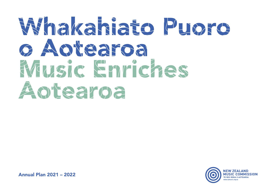# Whakahiato Puoro o Aotearoa Music Enriches Aotearoa



Annual Plan 2021 – 2022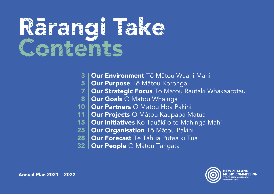# Rārangi Take Contents

- Our Environment Tō Mātou Waahi Mahi 3
- Our Purpose Tō Mātou Koronga 5
- Our Strategic Focus Tō Mātou Rautaki Whakaarotau 7
- **Our Goals** O Mātou Whainga 8
- Our Partners O Mātou Hoa Pakihi 10
- **Our Projects O Mātou Kaupapa Matua** 11
- Our Initiatives Ko Tauākī o te Mahinga Mahi  $15<sup>1</sup>$
- 25 | Our Organisation Tō Mātou Pakihi
- Our Forecast Te Tahua Pūtea ki Tua 28
- **Our People O Matou Tangata** 32

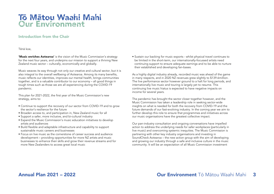### Tō Mātou Waahi Mahi Our Environment

#### Introduction from the Chair

Tēnā koe,

'Music enriches Aotearoa' is the vision of the Music Commission's strategy for the next four years, and underpins our mission to support a thriving New Zealand music sector – culturally, economically and globally.

Music weaves its way through not only our creative and cultural sector, but it is also integral to the overall wellbeing of Aotearoa. Among its many benefits, music reflects our identities, improves our mental health, brings communities together, and is a valuable contributor to our economy – all good things in tough times such as those we are all experiencing during the COVID-19 pandemic.

This plan for 2021-2022, the first year of the Music Commission's new strategy, aims to:

- Continue to support the recovery of our sector from COVID-19 and to grow the sector's resilience for the future
- Broaden access to, and participation in, New Zealand music for all
- Support a safer, more inclusive, and bi-cultural industry
- Expand the Music Commission's music education initiatives to develop artists and audiences
- Build flexible and adaptable infrastructure and capability to support sustainable music careers and businesses
- Focus on live music as the cornerstone of career success and audience development – providing opportunities for more NZ artists and music businesses to enhance their skills and grow their revenue streams and for more New Zealanders to access great local music

• Sustain our backing for music exports - whilst physical travel continues to be limited in the short-term, our internationally-focussed artists need continuing support to ensure adequate earnings and to be able to nurture their established and developing fan-bases.

As a highly digital industry already, recorded music was ahead of the game in many respects, and in 2020 NZ revenues grew slightly to \$139.6million. The live performance sector however ground to a halt for long periods, and internationally live music and touring is largely yet to resume. This continuing live music hiatus is expected to have negative impacts on income for several years.

The pandemic has brought the sector closer together however, and the Music Commission has taken a leadership role in seeking sector-wide insights on what is needed for both the recovery from COVID-19 and the future demands of our fast-evolving industry. In the coming year we aim to further develop this role to ensure that programmes and initiatives across our music organisations have the greatest collective impact.

Our pan-industry consultation and ongoing conversations have impelled action to address the underlying needs for safer workplaces (particularly in live music) and overcoming systemic inequities. The Music Commission is partnering with other key industry organisations and investing in SoundCheck Aotearoa – the new action group with the aim of developing and growing our industry through a safe and inclusive culture in the music community. It will be an expectation of all Music Commission investment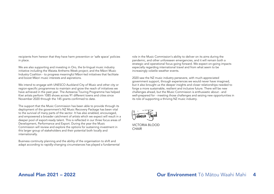recipients from hereon that they have harm prevention or 'safe space' policies in place.

We are also supporting and investing in Oro, the bi-lingual music industry initiative including the Waiata Anthems Week project; and the Māori Music Industry Coalition - to progress meaningful Māori-led initiatives that facilitate and boost Māori music interests and aspirations.

We intend to engage with UNESCO Auckland City of Music and other city or region-specific programmes to maintain and grow the reach of initiatives we have achieved in the past year. The Aotearoa Touring Programme has helped Kiwi artists perform 1085 shows across 91 different towns and cities since November 2020 through the 145 grants confirmed to date.

The support that the Music Commission has been able to provide through its deployment of the government's NZ Music Recovery Package has been vital to the survival of many parts of the sector. It has also enabled, encouraged, and empowered a broader catchment of artists which we expect will result in a deeper pool of export-ready talent. This is reflected in our three focus areas of Development, Performance and Export. During the year the Music Commission will review and explore the options for sustaining investment in this larger group of stakeholders and their potential both locally and internationally.

Business continuity planning and the ability of the organisation to shift and adapt according to rapidly-changing circumstances has played a fundamental role in the Music Commission's ability to deliver on its aims during the pandemic, and other unforeseen emergencies, and it will remain both a strategic and operational focus going forward. We expect on-going impacts especially regarding international travel and from what seem to be increasingly volatile weather events.

2020 saw the NZ music industry persevere, with much-appreciated government support, through experiences we would never have imagined, but it also brought us the deeper insights and closer relationships needed to forge a more sustainable, resilient and inclusive future. There will be new challenges ahead, but the Music Commission is enthusiastic about - and well-prepared for - meeting those challenges and seizing new opportunities in its role of supporting a thriving NZ music industry.

VICTORIA BLOOD **CHAIR**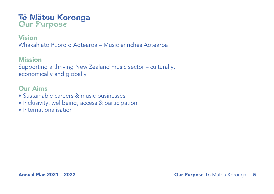# Tō Mātou Koronga Our Purpose

### Vision

Whakahiato Puoro o Aotearoa – Music enriches Aotearoa

### Mission

Supporting a thriving New Zealand music sector – culturally, economically and globally

### Our Aims

- Sustainable careers & music businesses
- Inclusivity, wellbeing, access & participation
- Internationalisation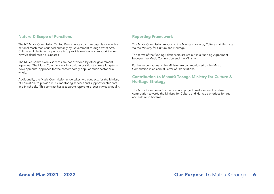#### Nature & Scope of Functions and Reporting Framework

The NZ Music Commission Te Reo Reka o Aotearoa is an organisation with a national reach that is funded primarily by Government through Vote: Arts, Culture and Heritage. Its purpose is to provide services and support to grow New Zealand music businesses.

The Music Commission's services are not provided by other government agencies. The Music Commission is in a unique position to take a long-term developmental approach for the contemporary popular music sector as a whole.

Additionally, the Music Commission undertakes two contracts for the Ministry of Education, to provide music mentoring services and support for students and in schools. This contract has a separate reporting process twice annually.

The Music Commission reports to the Ministers for Arts, Culture and Heritage via the Ministry for Culture and Heritage.

The terms of the funding relationship are set out in a Funding Agreement between the Music Commission and the Ministry.

Further expectations of the Minister are communicated to the Music Commission in an annual Letter of Expectations.

#### Contribution to Manatū Taonga Ministry for Culture & Heritage Strategy

The Music Commission's initiatives and projects make a direct positive contribution towards the Ministry for Culture and Heritage priorities for arts and culture in Aoteroa.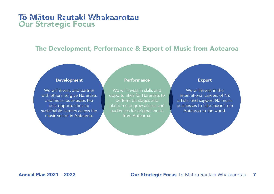### Tō Mātou Rautaki Whakaarotau Our Strategic Focus

### The Development, Performance & Export of Music from Aotearoa

#### Development

We will invest, and partner with others, to give NZ artists and music businesses the best opportunities for sustainable careers across the music sector in Aotearoa.

#### **Performance**

We will invest in skills and opportunities for NZ artists to perform on stages and platforms to grow access and audiences for original music from Aotearoa.

#### Export

We will invest in the international careers of NZ artists, and support NZ music businesses to take music from Aotearoa to the world.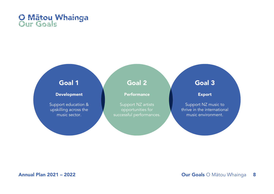

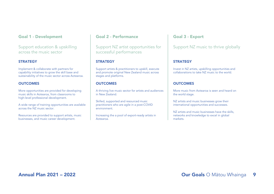Support education & upskilling across the music sector

#### **STRATEGY**

Implement & collaborate with partners for capability initiatives to grow the skill base and sustainability of the music sector across Aotearoa.

#### **OUTCOMES**

More opportunities are provided for developing music skills in Aotearoa, from classrooms to high-level professional development.

A wide range of training opportunities are available across the NZ music sector.

Resources are provided to support artists, music businesses, and music career development.

#### Goal 2 - Performance

Support NZ artist opportunities for successful performances

#### **STRATEGY**

Support artists & practitioners to upskill, execute and promote original New Zealand music across stages and platforms.

#### **OUTCOMES**

A thriving live music sector for artists and audiences in New Zealand.

Skilled, supported and resourced music practitioners who are agile in a post-COVID environment.

Increasing the a pool of export-ready artists in Aotearoa.

#### Goal 3 - Export

#### Support NZ music to thrive globally

#### **STRATEGY**

Invest in NZ artists, upskilling opportunities and collaborations to take NZ music to the world.

#### **OUTCOMES**

More music from Aotearoa is seen and heard on the world stage.

NZ artists and music businesses grow their international opportunities and successes.

NZ artists and music businesses have the skills, networks and knowledge to excel in global markets.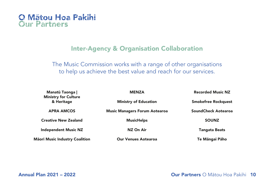

### Inter-Agency & Organisation Collaboration

The Music Commission works with a range of other organisations to help us achieve the best value and reach for our services.

| Manatū Taonga  <br><b>Ministry for Culture</b> | <b>MENZA</b>                         | <b>Recorded Music NZ</b>   |
|------------------------------------------------|--------------------------------------|----------------------------|
| & Heritage                                     | <b>Ministry of Education</b>         | <b>Smokefree Rockquest</b> |
| <b>APRA AMCOS</b>                              | <b>Music Managers Forum Aotearoa</b> | <b>SoundCheck Aotearoa</b> |
| <b>Creative New Zealand</b>                    | <b>MusicHelps</b>                    | <b>SOUNZ</b>               |
| <b>Independent Music NZ</b>                    | NZ On Air                            | <b>Tangata Beats</b>       |
| <b>Māori Music Industry Coalition</b>          | <b>Our Venues Aotearoa</b>           | Te Māngai Pāho             |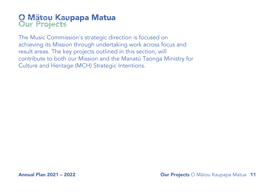# O Mātou Kaupapa Matua Our Projects

The Music Commission's strategic direction is focused on achieving its Mission through undertaking work across focus and result areas. The key projects outlined in this section, will contribute to both our Mission and the Manatū Taonga Ministry for Culture and Heritage (MCH) Strategic Intentions.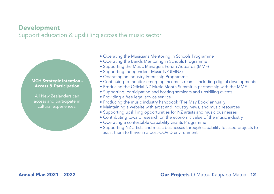### Development

Support education & upskilling across the music sector

### MCH Strategic Intention - Access & Participation

All New Zealanders can access and participate in cultural experiences.

- Operating the Musicians Mentoring in Schools Programme
- Operating the Bands Mentoring in Schools Programme
- Supporting the Music Managers Forum Aotearoa (MMF)
- Supporting Independent Music NZ (IMNZ)
- Operating an Industry Internship Programme
- Continuing to monitor emerging income streams, including digital developments
- Producing the Official NZ Music Month Summit in partnership with the MMF
- Supporting, participating and hosting seminars and upskilling events
- Providing a free legal advice service
- Producing the music industry handbook 'The May Book' annually
- Maintaining a website with artist and industry news, and music resources
- Supporting upskilling opportunities for NZ artists and music businesses
- Contributing toward research on the economic value of the music industry
- Operating a contestable Capability Grants Programme
- Supporting NZ artists and music businesses through capability focused projects to assist them to thrive in a post-COVID environment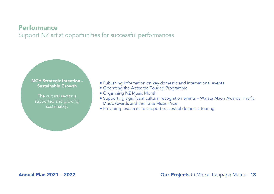### Performance

Support NZ artist opportunities for successful performances

#### MCH Strategic Intention - Sustainable Growth

The cultural sector is supported and growing sustainably.

- Publishing information on key domestic and international events
- Operating the Aotearoa Touring Programme
- Organising NZ Music Month
- Supporting significant cultural recognition events Waiata Maori Awards, Pacific Music Awards and the Taite Music Prize
- Providing resources to support successful domestic touring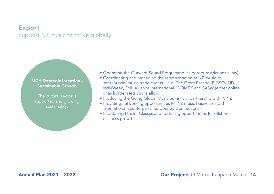### Export Support NZ music to thrive globally

### MCH Strategic Intention - Sustainable Growth

The cultural sector is supported and growing sustainably.

- Operating the Outward Sound Programme (as border restrictions allow)
- Coordinating and managing the representation of NZ music at international music trade events – e.g. The Great Escape, BIGSOUND, IndieWeek, Folk Alliance International, WOMEX and SXSW (either online or as border restrictions allow)
- Producing the Going Global Music Summit in partnership with IMNZ
- Providing networking opportunities for NZ music businesses with international counterparts i.e. Country Connections -
- Facilitating Master Classes and upskilling opportunities for offshore business growth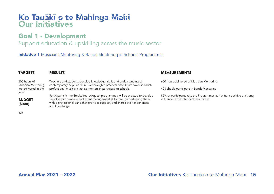# Ko Tauākī o te Mahinga Mahi Our Initiatives

### Goal 1 - Development

### Support education & upskilling across the music sector

**Initiative 1** Musicians Mentoring & Bands Mentoring in Schools Programmes

| <b>TARGETS</b>                     | <b>RESULTS</b>                                                                                                                                                                                                                                                | <b>MEASUREMENTS</b>                                                                                               |
|------------------------------------|---------------------------------------------------------------------------------------------------------------------------------------------------------------------------------------------------------------------------------------------------------------|-------------------------------------------------------------------------------------------------------------------|
| 600 hours of<br>Musician Mentoring | Teachers and students develop knowledge, skills and understanding of<br>contemporary popular NZ music through a practical based framework in which                                                                                                            | 600 hours delivered of Musician Mentoring                                                                         |
| are delivered in the<br>year       | professional musicians act as mentors in participating schools.                                                                                                                                                                                               | 40 Schools participate in Bands Mentoring                                                                         |
| <b>BUDGET</b><br>(5000)            | Participants in the Smokefreerockquest programmes will be assisted to develop<br>their live performance and event management skills through partnering them<br>with a professional band that provides support, and shares their experiences<br>and knowledge. | 85% of participants rate the Programmes as having a positive or strong<br>influence in the intended result areas. |
| 326                                |                                                                                                                                                                                                                                                               |                                                                                                                   |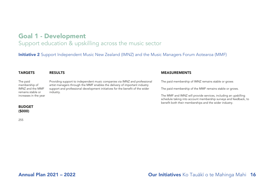### Support education & upskilling across the music sector

**Initiative 2** Support Independent Music New Zealand (IMNZ) and the Music Managers Forum Aotearoa (MMF)

| <b>TARGETS</b>                        | <b>RESULTS</b>                                                                                                                                           | <b>MEASUREMENTS</b>                                                                                                                                                                           |
|---------------------------------------|----------------------------------------------------------------------------------------------------------------------------------------------------------|-----------------------------------------------------------------------------------------------------------------------------------------------------------------------------------------------|
| The paid<br>membership of             | Providing support to independent music companies via IMNZ and professional<br>artist managers through the MMF enables the delivery of important industry | The paid membership of IMNZ remains stable or grows                                                                                                                                           |
| IMNZ and the MMF<br>remains stable or | support and professional development initiatives for the benefit of the wider<br>industry.                                                               | The paid membership of the MMF remains stable or grows.                                                                                                                                       |
| increases in the year                 |                                                                                                                                                          | The MMF and IMNZ will provide services, including an upskilling<br>schedule taking into account membership surveys and feedback, to<br>benefit both their memberships and the wider industry. |

#### BUDGET (\$000)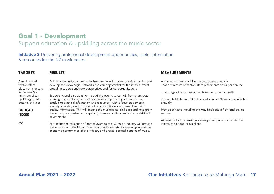### Support education & upskilling across the music sector

**Initiative 3** Delivering professional development opportunities, useful information & resources for the NZ music sector

| <b>TARGETS</b>                                           | <b>RESULTS</b>                                                                                                                                                                                                                                      | <b>MEASUREM</b>                       |
|----------------------------------------------------------|-----------------------------------------------------------------------------------------------------------------------------------------------------------------------------------------------------------------------------------------------------|---------------------------------------|
| A minimum of<br>twelve intern<br>placements occurs       | Delivering an Industry Internship Programme will provide practical training and<br>develop the knowledge, networks and career potential for the interns, whilst<br>providing support and new perspectives and for host organisations.               | A minimum of te<br>That a minimum     |
| in the year & a                                          |                                                                                                                                                                                                                                                     | That usage of re                      |
| minimum of ten<br>upskilling events<br>occur in the year | Supporting and participating in upskilling events across NZ, from grassroots<br>learning through to higher professional development opportunities, and<br>producing practical information and resources - with a focus on domestic                  | A quantifiable fig<br>annually        |
| <b>BUDGET</b><br>(5000)                                  | touring capability - will provide industry practitioners with useful and high<br>quality information. This will expand the music sector skill base and help grow<br>the industry's expertise and capability to successfully operate in a post-COVID | Provide services<br>service           |
|                                                          | environment.                                                                                                                                                                                                                                        |                                       |
| 600                                                      | Facilitating the collection of data relevant to the NZ music industry will provide<br>the industry (and the Music Commission) with important knowledge about the<br>economic performance of the industry and greater societal benefits of music.    | At least 85% of<br>initiatives as god |

#### **IENTS**

en upskilling events occurs annually of twelve intern placements occur per annum

esources is maintained or grows annually

igure of the financial value of NZ music is published

including the May Book and a free legal advice

professional development participants rate the od or excellent.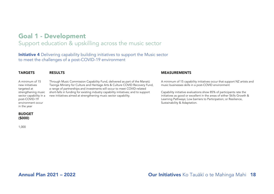### Support education & upskilling across the music sector

**Initiative 4** Delivering capability building initiatives to support the Music sector to meet the challenges of a post-COVID-19 environment

| <b>TARGETS</b>                                                           | <b>RESULTS</b>                                                                                                                                                        |
|--------------------------------------------------------------------------|-----------------------------------------------------------------------------------------------------------------------------------------------------------------------|
| A minimum of 15<br>new initiatives<br>targeted at<br>strengthening music | Through Music Commission Capability<br>Taonga Ministry for Culture and Herita<br>a range of partnerships and investment<br>short-falls in funding for existing indust |
| re de la característica de la filósofia de las                           | التواصيل والمستقرض والمتعاون والمتعاون والمتعاون والمتحاولات المتحاولات والمتحدث                                                                                      |

sector capability in a new initiatives aimed at strengthening music sector capability. Fund, delivered as part of the Manatū Ige Arts & Culture COVID Recovery Fund, ts will occur to meet COVID-related try capability initiatives; and to support

#### MEASUREMENTS

A minimum of 15 capability initiatives occur that support NZ artists and music businesses skills in a post-COVID environment

Capability initiative evaluations show 85% of participants rate the initiatives as good or excellent in the areas of either Skills Growth & Learning Pathways; Low barriers to Participation; or Resilience, Sustainability & Adaptation.

#### BUDGET (\$000)

post-COVID-19 environment occur in the year

1,000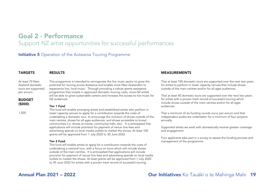### Goal 2 - Performance Support NZ artist opportunities for successful performances

**Initiative 5** Operation of the Aotearoa Touring Programme

#### TARGETS At least 70 New Zealand domestic tours are supported per annum. BUDGET RESULTS This programme is intended to reinvigorate the live music sector to grow the potential for touring across Aotearoa and enable more New Zealanders to experience live, local music. Through providing a robust grants assistance programme that invests in approved domestic touring costs, more NZ artists will be able to grow sustainable careers and increase the access to live music for NZ audiences. Tier 1 Fund This fund will enable emerging artists and established artists who perform in lower capacity venues to apply for a contribution towards the costs of undertaking a domestic tour, to encourage the inclusion of shows outside of the main centres, shows for all ages audiences, and shows accessible to broad communities (i.e. shows at marae, community halls, etc). It is anticipated that applications will include provision for payment of venue hire fees and advertising spends on local media outlets to market the shows. At least 100 grants will be approved from 1 July 2020 to 30 June 2022. Tier 2 Fund This fund will enable artists to apply for a contribution towards the costs of

undertaking a national tour, with a focus on tours which will include shows outside of the main centres. It is anticipated that applications will include provision for payment of venue hire fees and advertising spends on local media outlets to market the shows. At least grants will be approved from 1 July 2020 to 30 June 2022 for artists with a proven track record of successful touring.

#### MEASUREMENTS

That at least 100 domestic tours are supported over the next two years for artists to perform in lower capacity venues that include shows outside of the main centres and/or for all ages audiences

That at least 40 domestic tours are supported over the next two years for artists with a proven track record of successful touring which include shows outside of the main centres and/or for all ages audiences

That a minimum of six funding rounds occur per annum and that independent audits are undertaken for a minimum of four projects annually.

Supported artists we work with domestically receive greater coverage and engagement

Four applicants take part in a survey to assess the funding process and management of the programme.

(\$000)

1,500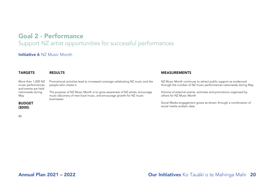### Goal 2 - Performance

### Support NZ artist opportunities for successful performances

#### **Initiative 6 NZ Music Month**

| <b>TARGETS</b>                                                  | <b>RESULTS</b>                                                                                                                                                     | <b>MEASUREMENTS</b>                                                                                                                  |
|-----------------------------------------------------------------|--------------------------------------------------------------------------------------------------------------------------------------------------------------------|--------------------------------------------------------------------------------------------------------------------------------------|
| More than 1,000 NZ<br>music performances<br>and events are held | Promotional activities lead to increased coverage celebrating NZ music and the<br>people who create it.                                                            | NZ Music Month continues to attract public support as evidenced<br>through the number of NZ music performances nationwide during May |
| nationwide during<br>May                                        | The purpose of NZ Music Month is to grow awareness of NZ artists, encourage<br>music discovery of new local music, and encourage growth for NZ music<br>businesses | Volume of external events, activities and promotions organised by<br>others for NZ Music Month                                       |
| <b>BUDGET</b><br>(5000)                                         |                                                                                                                                                                    | Social Media engagement grows as shown through a combination of<br>social media analytic data.                                       |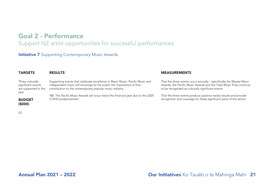# Goal 2 - Performance

Support NZ artist opportunities for successful performances

### **Initiative 7** Supporting Contemporary Music Awards

| <b>TARGETS</b>                                                         | <b>RESULTS</b>                                                                                                                                                                                                     | <b>MEASUREMENTS</b>                                                                                                                                                                              |
|------------------------------------------------------------------------|--------------------------------------------------------------------------------------------------------------------------------------------------------------------------------------------------------------------|--------------------------------------------------------------------------------------------------------------------------------------------------------------------------------------------------|
| Three culturally<br>significant events<br>are supported in the<br>year | Supporting events that celebrate excellence in Maori Music, Pacific Music and<br>independent music will showcase to the public the importance of their<br>contribution to the contemporary popular music industry. | That the three events occur annually - specifically the Waiata Maori<br>Awards, the Pacific Music Awards and the Taite Music Prize continue<br>to be recognised as culturally significant events |
| <b>BUDGET</b><br>(5000)                                                | NB. The Pacific Music Awards will occur twice this financial year due to the 2020<br>COVID postponement                                                                                                            | That the three events produce positive media results and provide<br>recognition and coverage for these significant parts of the sector.                                                          |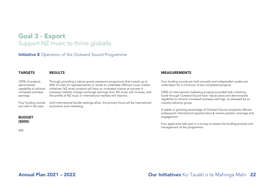### Goal 3 - Export Support NZ music to thrive globally

**DECULTS** 

**Initiative 8** Operation of the Outward Sound Programme

| <b>IARUEIJ</b>        | REJULIJ                                                                            |
|-----------------------|------------------------------------------------------------------------------------|
| 100% of projects      | Through providing a robust grants assistance programme that invests up to          |
| demonstrate           | 50% of costs for representatives or artists to undertake offshore music market     |
| capability to achieve | initiatives, NZ music projects will have an increased chance at success in         |
| increased overseas    | overseas markets, foreign exchange earnings from NZ music will increase, and       |
| earnings              | the profile of NZ music in international markets will improve.                     |
| Four funding rounds   | Until international border settings allow, the primary focus will be international |
| are held in the year  | promotion and marketing.                                                           |

#### MEASUREMENTS

Four funding rounds are held annually and independent audits are undertaken for a minimum of two completed projects

100% of international marketing projects provided with matching funds through Outward Sound have robust plans and demonstrate capability to achieve increased overseas earnings, as assessed by an industry advisory group

A stable or growing percentage of Outward Sound recipients offered subsequent international opportunities & receive greater coverage and engagement

Four applicants take part in a survey to assess the funding process and management of the programme.

# (\$000)

BUDGET

**TARGETS**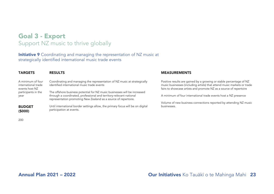### Goal 3 - Export Support NZ music to thrive globally

**Initiative 9** Coordinating and managing the representation of NZ music at strategically identified international music trade events

| <b>TARGETS</b>                                             | <b>RESULTS</b>                                                                                                                                                                                                      | <b>MEASUREMENTS</b>                                                                                                                                                                                                  |
|------------------------------------------------------------|---------------------------------------------------------------------------------------------------------------------------------------------------------------------------------------------------------------------|----------------------------------------------------------------------------------------------------------------------------------------------------------------------------------------------------------------------|
| A minimum of four<br>international trade<br>events host NZ | Coordinating and managing the representation of NZ music at strategically<br>identified international music trade events                                                                                            | Positive results are gained by a growing or stable percentage of NZ<br>music businesses (including artists) that attend music markets or trade<br>fairs to showcase artists and promote NZ as a source of repertoire |
| participants in the<br>year                                | The offshore business potential for NZ music businesses will be increased<br>through a coordinated, professional and territory-relevant national<br>representation promoting New Zealand as a source of repertoire. | A minimum of four international trade events host a NZ presence                                                                                                                                                      |
| <b>BUDGET</b><br>(5000)                                    | Until international border settings allow, the primary focus will be on digital<br>participation at events.                                                                                                         | Volume of new business connections reported by attending NZ music<br>businesses.                                                                                                                                     |
|                                                            |                                                                                                                                                                                                                     |                                                                                                                                                                                                                      |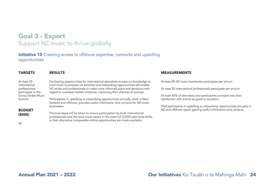### Goal 3 - Export Support NZ music to thrive globally

**Initiative 10** Creating access to offshore expertise, networks and upskilling opportunities

| <b>TARGETS</b>                      | <b>RESULTS</b>                                                                                                                                                    | <b>MEASUREMENTS</b>                                                                                             |
|-------------------------------------|-------------------------------------------------------------------------------------------------------------------------------------------------------------------|-----------------------------------------------------------------------------------------------------------------|
| At least 20<br>international        | Facilitating opportunities for international specialists to pass on knowledge to<br>local music businesses via seminars and networking opportunities will enable  | At least 80 NZ music businesses participate per annum                                                           |
| professionals<br>participate in the | NZ artists and professionals to make more informed plans and decisions with<br>regard to overseas market initiatives, improving their chances of success.         | At least 20 international professionals participate per annum.                                                  |
| Going Global Music<br>Summit        | Participation in upskilling or networking opportunities annually, both in New                                                                                     | At least 85% of attendees and participants surveyed rate their<br>satisfaction with events as good or excellent |
|                                     | Zealand and offshore, provides useful information and contacts for NZ music<br>businesses.                                                                        | That participants in upskilling or networking opportunities annually in                                         |
| <b>BUDGET</b><br>(5000)             | Practical steps will be taken to ensure participation by both international<br>professionals and the local music sector in the event of COVID alert level shifts, | NZ and offshore report gaining useful information and contacts.                                                 |
| 50                                  | or that alternative comparable online opportunities are made available.                                                                                           |                                                                                                                 |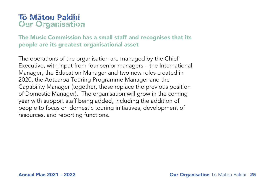### Tō Mātou Pakihi Our Organisation

The Music Commission has a small staff and recognises that its people are its greatest organisational asset

The operations of the organisation are managed by the Chief Executive, with input from four senior managers – the International Manager, the Education Manager and two new roles created in 2020, the Aotearoa Touring Programme Manager and the Capability Manager (together, these replace the previous position of Domestic Manager). The organisation will grow in the coming year with support staff being added, including the addition of people to focus on domestic touring initiatives, development of resources, and reporting functions.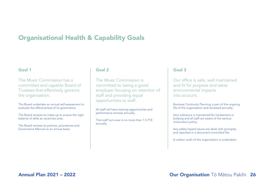### Organisational Health & Capability Goals

#### Goal 1

The Music Commission has a committed and capable Board of Trustees that effectively governs the organisation.

The Board undertake an annual self-assessment to evaluate the effectiveness of its governance.

The Board reviews its make-up to ensure the right balance of skills as vacancies arise.

The Board reviews its policies, procedures and Governance Manual on an annual basis.

#### Goal 2

The Music Commission is committed to being a good employer focusing on retention of staff and providing equal opportunities to staff.

All staff will have training opportunities and performance reviews annually.

That staff turn-over is no more than 1.5 FTE annually.

#### Goal 3

Our office is safe, well maintained and fit for purpose and takes environmental impacts into account.

Business Continuity Planning is part of the ongoing life of the organisation and reviewed annually.

Zero tolerance is maintained for harassment or bullying and all staff are aware of the serious misconduct policy.

Any safety hazard issues are dealt with promptly and reported in a document-controlled file.

A carbon audit of the organisation is undertaken.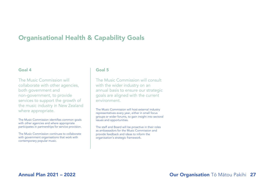### Organisational Health & Capability Goals

#### Goal 4

The Music Commission will collaborate with other agencies, both government and non-government, to provide services to support the growth of the music industry in New Zealand where appropriate.

The Music Commission identifies common goals with other agencies and where appropriate participates in partnerships for service provision.

The Music Commission continues to collaborate with government organisations that work with contemporary popular music.

#### Goal 5

The Music Commission will consult with the wider industry on an annual basis to ensure our strategic goals are aligned with the current environment.

The Music Commission will host external industry representatives every year, either in small focus groups or wider forums, to gain insight into sectoral issues and opportunities.

The staff and Board will be proactive in their roles as ambassadors for the Music Commission and provide feedback and ideas to inform the organisation's strategic framework.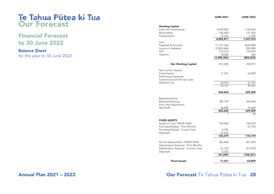### Te Tahua Pūtea ki Tua Our Forecast

### Financial Forecast to 30 June 2022

#### Balance Sheet for the year to 30 June 2022

|                                             | <b>JUNE 2021</b>      | <b>JUNE 2022</b>  |
|---------------------------------------------|-----------------------|-------------------|
| <b>Working Capital</b>                      |                       |                   |
| Cash and Investments                        | 4,699,892             | 1,104,643         |
| Receivables                                 | 182,583               | 127,523           |
| Prepayments                                 | 10,336                | 5,509             |
|                                             | 4,892,811             | 1,237,675         |
| Less                                        |                       |                   |
| Payables & Accruals                         | (1,715,736)           | (834, 848)        |
| Income In Advance                           | (3,002,466)           | (80,000)          |
| GST                                         | 219,514               | 110,979           |
| Taxation                                    | 18,382<br>(4,480,306) | 265<br>(803, 603) |
|                                             |                       |                   |
| <b>Net Working Capital:</b>                 | 412,505               | 434,071           |
| <b>Non Current Assets</b>                   |                       |                   |
| Fixed Assets                                | 17,231                | 63,859            |
| <b>Preliminary Expenses</b>                 |                       |                   |
| Outward Sound Set Up Costs                  |                       |                   |
| Deferred Tax                                | 24,910                | 31,379            |
|                                             | 42,141                | 95,237            |
|                                             | 454,645               | 529,309           |
|                                             |                       |                   |
| Represented by:<br><b>Retained Earnings</b> | 387,759               |                   |
| Prior Year Adjustment                       |                       | 454,645           |
| Net Profit                                  | 66,886                | 74,664            |
|                                             | 454,645               | 529,309           |
|                                             | 1                     | (0)               |
|                                             |                       |                   |
| <b>FIXED ASSETS</b>                         |                       |                   |
| Assets at Cost; PRIOR YEAR                  | 104,856               | 104,479           |
| Purchases/(Sales) - Prior Months            |                       | 67,700            |
| Purchases/(Sales) - Current Year            | 4,955                 |                   |
| Disposals                                   | (5, 332)<br>104,479   |                   |
|                                             |                       | 172,179           |
| <b>Accum Depreciation: PRIOR YEAR</b>       | (86, 446)             | (87, 249)         |
| Depreciation Expense - Prior Months         |                       |                   |
| Depreciation Expense - Current Year         | (6, 135)              | (21,072)          |
| Disposals                                   | 5,332                 |                   |
|                                             | (87, 249)             | (108,321)         |
| <b>Fixed Assets</b>                         | 17,231                | 63,859            |
|                                             |                       |                   |

### Annual Plan 2021 – 2022 Our Forecast Te Tahua Pūtea ki Tua 28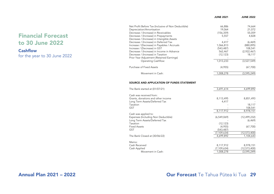|                                                 |                                                                                                                                                                                                                                                                                                         | <b>JUNE 2021</b>                                              | <b>JUNE 2022</b>                                              |
|-------------------------------------------------|---------------------------------------------------------------------------------------------------------------------------------------------------------------------------------------------------------------------------------------------------------------------------------------------------------|---------------------------------------------------------------|---------------------------------------------------------------|
| <b>Financial Forecast</b><br>to 30 June 2022    | Net Profit Before Tax (Inclusive of Non Deductible)<br>Depreciation/Amortisation<br>Decrease / (Increase) in Receivables<br>Decrease / (Increase) in Prepayments<br>Decrease / (Increase) in Intangible Assets<br>Decrease / (Increase) in Deferred Tax<br>Increase / (Decrease) in Payables / Accruals | 66,886<br>19,064<br>(156, 359)<br>5,557<br>4,417<br>1,066,813 | 74,664<br>21,072<br>55,059<br>4,828<br>(6, 469)<br>(880, 895) |
| <b>Cashflow</b><br>for the year to 30 June 2022 | Increase / (Decrease) in GST<br>Decrease / (Increase) in Income in Advance<br>Decrease / (Increase) in Taxation<br>Prior Year Adjustment (Retained Earnings)<br><b>Operating Cashflow:</b>                                                                                                              | (543, 487)<br>562,467<br>(12, 123)<br>1,013,233               | 108,541<br>(2,922,467)<br>18,117<br>(3,527,549)               |
|                                                 | Purchase of Fixed Assets                                                                                                                                                                                                                                                                                | (4, 955)                                                      | (67,700)                                                      |
|                                                 | Movement in Cash:                                                                                                                                                                                                                                                                                       | 1,008,278                                                     | (3,595,249)                                                   |
|                                                 | SOURCE AND APPLICATION OF FUNDS STATEMENT                                                                                                                                                                                                                                                               |                                                               |                                                               |
|                                                 | The Bank started at (01/07/21)                                                                                                                                                                                                                                                                          | 3,691,614                                                     | 4,699,892                                                     |
|                                                 | Cash was received from:<br>Grants, donations and other income<br>Long Term Assets/Deferred Tax<br>Taxation<br><b>GST</b><br>Cash was applied to:                                                                                                                                                        | 8,113,495<br>4,417<br>8,117,912                               | 8,851,493<br>18,117<br>108,541<br>8,978,151                   |
|                                                 |                                                                                                                                                                                                                                                                                                         |                                                               |                                                               |

Expenses (Including Non Deductible) Long Term Assets/Deferred Tax

Movement in Cash:

The Bank Closed at (30/06/22)

Taxation Fixed Assets GST

Memo: Cash Received Cash Applied

 (6,549,069) - (12,123)  $(4,955)$  (543,487) (7,109,634) 4,699,892  (12,499,232) (6,469) - (67,700) -

 (12,573,400) 1,104,643

 8,978,151 (12,573,400)  $(3,595,249)$ 

 8,117,912 (7,109,634) 1,008,278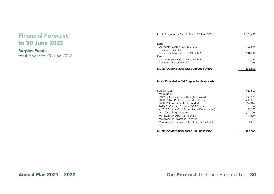### Financial Forecast to 30 June 2022

### Surplus Funds

for the year to 30 June 2022

| Music Commission Cash In Bank - 30 June 2022 | 1,104,643  |
|----------------------------------------------|------------|
|                                              |            |
| Less:                                        |            |
| Accounts Payable - 30 JUNE 2022              | (723, 869) |
| Taxation - 30 JUNE 2022                      |            |
| Income In Advance - 30 JUNE 2022             | (80,000)   |
| Plus:                                        |            |
| Accounts Receivable - 30 JUNE 2022           | 127,523    |
| Taxation - 30 JUNE 2022                      | 265        |
| <b>MUSIC COMMISSION NET SURPLUS FUNDS</b>    | 428,563    |

#### Music Commission Net Surplus Funds Analysis

| Surplus Funds                                 | 428.563    |
|-----------------------------------------------|------------|
| Made up of:                                   |            |
| 2019-20 Surplus Funds Brought Forward         | 402.170    |
| 2020-21 Net Profit / (Loss) - MCH Funded      | 239,009    |
| 2020-21 Education - MCH Funded                | (164, 344) |
| 2020-21 Outward Sound - MCH Funded            | (0)        |
| + 2020-21 Non Cash Expenditure (Depreciation) | 21,072     |
| Less Capital Expenditure                      | (67,700)   |
| Movement in Deferred Taxation                 | (6, 469)   |
| Movement in Income in Advance                 |            |
| Movement in Prepayments & Long Term Assets    | 4.828      |
| <b>MUSIC COMMISSION NET SURPLUS FUNDS</b>     | 428,566    |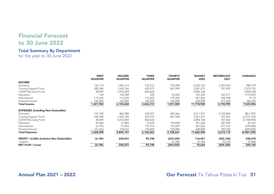### Financial Forecast to 30 June 2022

### Total Summary By Department

for the year to 30 June 2022

|                                                   | <b>FIRST</b><br><b>QUARTER</b> | <b>SECOND</b><br><b>QUARTER</b> | <b>THIRD</b><br><b>QUARTER</b> | <b>FOURTH</b><br><b>QUARTER</b> | <b>BUDGET</b><br>2022 | <b>REFORECAST</b><br>2021 | <b>VARIANCE</b> |
|---------------------------------------------------|--------------------------------|---------------------------------|--------------------------------|---------------------------------|-----------------------|---------------------------|-----------------|
| <b>INCOME</b>                                     |                                |                                 |                                |                                 |                       |                           |                 |
| Domestic                                          | 733,118                        | 1,056,114                       | 733,212                        | 770,288                         | 3,292,732             | 2,307,453                 | 985,279         |
| Touring Support Fund                              | 385,346                        | 1,632,746                       | 420,975                        | 841,949                         | 3,281,015             | 707,823                   | 2,573,192       |
| COVID Recovery Fund                               | 38,049                         | 3,016,059                       | 842,660                        |                                 | 3,896,768             |                           | 3,896,768       |
| Education                                         | 124                            | 133,500                         | 200                            | 53,500                          | 187,324               | 307,271                   | (119, 947)      |
| International                                     | 115,265                        | 115,265                         | 115,265                        | 115,265                         | 461,062               | 456,948                   | 4,114           |
| Outward Sound                                     | 150,000                        | 150,000                         | 150,000                        | 150,000                         | 600,000               | 413,500                   | 186,500         |
| <b>Total Income</b>                               | 1,421,902                      | 6,103,684                       | 2,262,312                      | 1,931,002                       | 11,718,900            | 4,192,995                 | 7,525,906       |
| <b>EXPENSES (Including Non Deductible)</b>        |                                |                                 |                                |                                 |                       |                           |                 |
| Domestic                                          | 775,700                        | 862,380                         | 530,391                        | 843,466                         | 3,011,937             | 2,150,840                 | (861,097)       |
| Touring Support Fund                              | 385,346                        | 1,632,746                       | 420,975                        | 841,949                         | 3,281,015             | 707,823                   | (2,573,192)     |
| COVID Recovery Fund                               | 38,049                         | 3,016,059                       | 842,660                        |                                 | 3,896,768             | 707,823                   | (3, 188, 945)   |
| Education                                         | 39,464                         | 67,883                          | 74,624                         | 169,698                         | 351,668               | 387,035                   | 35,367          |
| International                                     | 67,976                         | 91,643                          | 147,914                        | 153,529                         | 461,062               | 311,413                   | (149, 649)      |
| Outward Sound                                     | 121,563                        | 178,437                         | 150,000                        | 150,000                         | 600,000               | 350,180                   | (249, 820)      |
| <b>Total Expenses</b>                             | 1,428,098                      | 5,849,147                       | 2,166,563                      | 2,158,641                       | 11,602,450            | 4,615,115                 | (6,987,335)     |
| <b>PROFIT / (LOSS) (Inclusive Non Deductible)</b> | (6, 196)                       | 254,537                         | 95,748                         | (227, 639)                      | 116,451               | (422, 120)                | 538,570         |
| Taxation                                          |                                |                                 |                                | 41,786                          | 41,786                | 32,318                    | (9,468)         |
| <b>NET Profit / (Loss)</b>                        | (6, 196)                       | 254,537                         | 95,748                         | (269, 425)                      | 74,664                | (454, 438)                | 529,102         |

### Annual Plan 2021 – 2022 Our Forecast Te Tahua Pūtea ki Tua 31